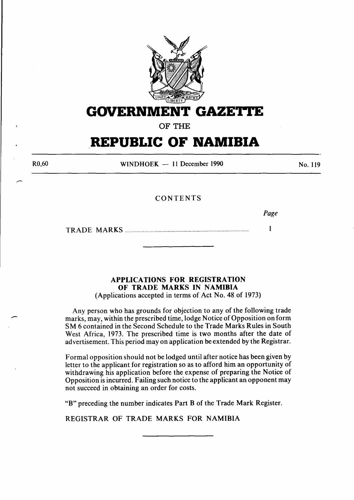

**GOVERNMENT GAZETTE** 

OF THE

## **REPUBLIC OF NAMIBIA**

R0,60

WINDHOEK - 11 December 1990

No. 119

#### CONTENTS

*Page* 

TRADE MARKS ............................................................................................... 1

### APPLICATIONS FOR REGISTRATION OF TRADE MARKS IN NAMIBIA

(Applications accepted in terms of Act No. 48 of 1973)

Any person who has grounds for objection to any of the following trade marks, may, within the prescribed time, lodge Notice of Opposition on form SM 6 contained in the Second Schedule to the Trade Marks Rules in South West Africa, 1973. The prescribed time is two months after the date of advertisement. This period may on application be extended by the Registrar.

Formal opposition should not be lodged until after notice has been given by letter to the applicant for registration so as to afford him an opportunity of withdrawing his application before the expense of preparing the Notice of Opposition is incurred. Failing such notice to the applicant an opponent may not succeed in obtaining an order for costs.

"B" preceding the number indicates Part B of the Trade Mark Register.

REGISTRAR OF TRADE MARKS FOR NAMIBIA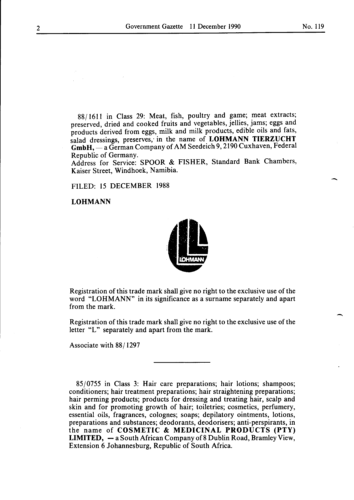-

-

88/1611 in Class 29: Meat, fish, poultry and game; meat extracts; preserved, dried and cooked fruits and vegetables, jellies, jams; eggs and products derived from eggs, milk and milk products, edible oils and fats, salad dressings, preserves; in the name of **LOHMANN TIERZUCHT**  GmbH, - a German Company of AM Seedeich 9, 2190 Cuxhaven, Federal Republic of Germany.

Address for Service: SPOOR & FISHER, Standard Bank Chambers, Kaiser Street, Windhoek, Namibia.

FILED: 15 DECEMBER 1988

#### **LOHMANN**



Registration of this trade mark shall give no right to the exclusive use of the word "LOHMANN" in its significance as a surname separately and apart from the mark.

Registration of this trade mark shall give no right to the exclusive use of the letter "L" separately and apart from the mark.

Associate with 88/1297

85/0755 in Class 3: Hair care preparations; hair lotions; shampoos; conditioners; hair treatment preparations; hair straightening preparations; hair perming products; products for dressing and treating hair, scalp and skin and for promoting growth of hair; toiletries; cosmetics, perfumery, essential oils, fragrances, colognes; soaps; depilatory ointments, lotions, preparations and substances; deodorants, deodorisers; anti-perspirants, in the name of **COSMETIC & MEDICINAL PRODUCTS (PTY) LIMITED, — a South African Company of 8 Dublin Road, Bramley View,** Extension 6 Johannesburg, Republic of South Africa.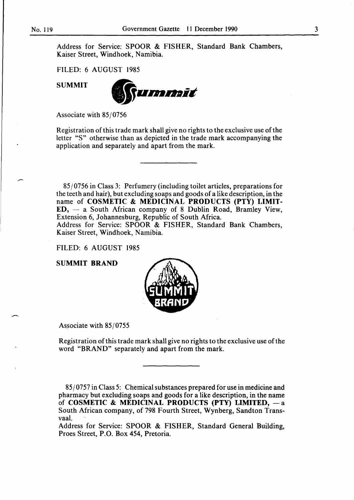Address for Service: SPOOR & FISHER, Standard Bank Chambers, Kaiser Street, Windhoek, Namibia.

FILED: 6 AUGUST 1985

SUMMIT



Associate with 85/0756

Registration of this trade mark shall give no rights to the exclusive use of the letter "S" otherwise than as depicted in the trade mark accompanying the application and separately and apart from the mark.

85/0756 in Class 3: Perfumery (including toilet articles, preparations for the teeth and hair), but excluding soaps and goods of a like description, in the name of COSMETIC & MEDICINAL PRODUCTS (PTY) LIMIT- $ED, -a$  South African company of 8 Dublin Road, Bramley View, Extension 6, Johannesburg, Republic of South Africa.

Address for Service: SPOOR & FISHER, Standard Bank Chambers, Kaiser Street, Windhoek, Namibia.

FILED: 6 AUGUST 1985

SUMMIT BRAND



Associate with 85/0755

--

Registration of this trade mark shall give no rights to the exclusive use of the word "BRAND" separately and apart from the mark.

85/0757 in Class 5: Chemical substances prepared for use in medicine and pharmacy but excluding soaps and goods for a like description, in the name of COSMETIC & MEDICINAL PRODUCTS (PTY) LIMITED,  $-$  a South African company, of 798 Fourth Street, Wynberg, Sandton Transvaal.

Address for Service: SPOOR & FISHER, Standard General Building, Proes Street, P.O. Box 454, Pretoria.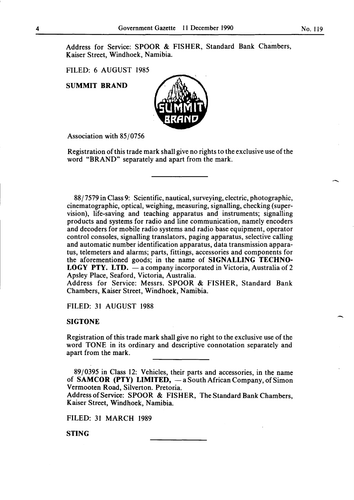Address for Service: SPOOR & FISHER, Standard Bank Chambers, Kaiser Street, Windhoek, Namibia.

FILED: 6 AUGUST 1985

SUMMIT BRAND



Association with 85/0756

Registration ofthis trade mark shall give no rights to the exclusive use of the word "BRAND" separately and apart from the mark.

88/7579 in Class 9: Scientific, nautical, surveying, electric, photographic, cinematographic, optical, weighing, measuring, signalling, checking (supervision), life-saving and teaching apparatus and instruments; signalling products and systems for radio and line communication, namely encoders and decoders for mobile radio systems and radio base equipment, operator control consoles, signalling translators, paging apparatus, selective calling and automatic number identification apparatus, data transmission apparatus, telemeters and alarms; parts, fittings, accessories and components for the aforementioned goods; in the name of SIGNALLING TECHNO-**LOGY PTY.** LTD.  $-$  a company incorporated in Victoria, Australia of 2 Apsley Place, Seaford, Victoria, Australia.

Address for Service: Messrs. SPOOR & FISHER, Standard Bank Chambers, Kaiser Street, Windhoek, Namibia.

FILED: 31 AUGUST 1988

#### SIGTONE

Registration of this trade mark shall give no right to the exclusive use of the word TONE in its ordinary and descriptive connotation separately and apart from the mark.

89/0395 in Class 12: Vehicles, their parts and accessories, in the name of SAMCOR (PTY) LIMITED,  $-\overline{a}$  South African Company, of Simon Vermooten Road, Silverton. Pretoria.

Address of Service: SPOOR & FISHER, The Standard Bank Chambers, Kaiser Street, Windhoek, Namibia.

FILED: 31 MARCH 1989

STING

-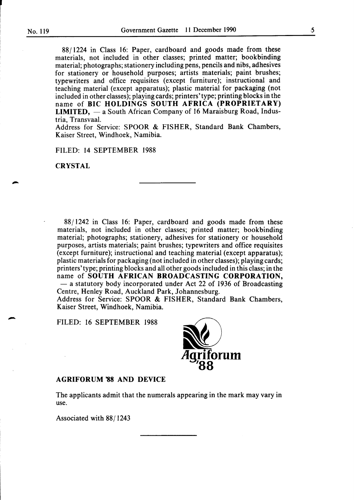r

88/1224 in Class 16: Paper, cardboard and goods made from these materials, not included in other classes; printed matter; bookbinding material; photographs; stationery including pens, pencils and nibs, adhesives for stationery or household purposes; artists materials; paint brushes; typewriters and office requisites (except furniture); instructional and teaching material (except apparatus); plastic material for packaging (not included in other classes); playing cards; printers' type; printing blocks in the name of BIC HOLDINGS SOUTH AFRICA (PROPRIETARY) LIMITED,  $-$  a South African Company of 16 Maraisburg Road, Industria, Transvaal.

Address for Service: SPOOR & FISHER, Standard Bank Chambers, Kaiser Street, Windhoek, Namibia.

FILED: 14 SEPTEMBER 1988

#### **CRYSTAL**

88/1242 in Class 16: Paper, cardboard and goods made from these materials, not included in other classes; printed matter; bookbinding material; photographs; stationery, adhesives for stationery or household purposes, artists materials; paint brushes; typewriters and office requisites (except furniture); instructional and teaching material (except apparatus); plastic materials for packaging (not included in other classes); playing cards; printers'type; printing blocks and all other goods included in this class; in the name of SOUTH AFRICAN BROADCASTING CORPORATION,  $-$  a statutory body incorporated under Act 22 of 1936 of Broadcasting Centre, Henley Road, Auckland Park, Johannesburg. Address for Service: SPOOR & FISHER, Standard Bank Chambers,

Kaiser Street, Windhoek, Namibia.

FILED: 16 SEPTEMBER 1988



#### AGRIFORUM '88 AND DEVICE

The applicants admit that the numerals appearing in the mark may vary in use.

Associated with 88/1243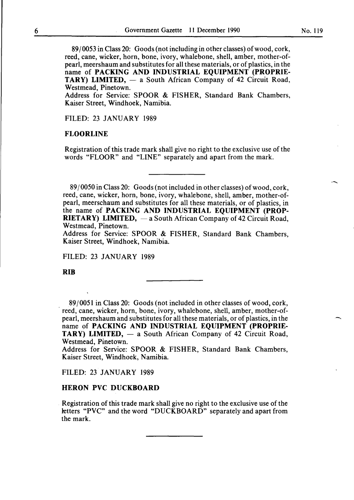89/0053 in Class 20: Goods (not including in other classes) of wood, cork, reed, cane, wicker, horn, bone, ivory, whalebone, shell, amber, mother-ofpearl, meershaum and substitutes for all these materials, or of plastics, in the name of **PACKING AND INDUSTRIAL EQUIPMENT (PROPRIE-TARY) LIMITED,** - a South African Company of 42 Circuit Road, Westmead, Pinetown.

Address for Service: SPOOR & FISHER, Standard Bank Chambers, Kaiser Street, Windhoek, Namibia.

FILED: 23 JANUARY 1989

#### **FLOORLINE**

Registration of this trade mark shall give no right to the exclusive use of the words "FLOOR" and "LINE" separately and apart from the mark.

8910050 in Class 20: Goods (not included in other classes) of wood, cork, reed, cane, wicker, horn, bone, ivory, whalebone, shell, amber, mother-ofpearl, meerschaum and substitutes for all these materials, or of plastics, in the name of **PACKING AND INDUSTRIAL EQUIPMENT (PROP-RIETARY) LIMITED,**  $-$  a South African Company of 42 Circuit Road, Westmead, Pinetown.

Address for Service: SPOOR & FISHER, Standard Bank Chambers, Kaiser Street, Windhoek, Namibia.

FILED: 23 JANUARY 1989

**RIB** 

89/0051 in Class 20: Goods (not included in other classes of wood, cork, reed, cane, wicker, horn, bone, ivory, whalebone, shell, amber, mother-ofpearl, meershaum and substitutes for all these materials, or of plastics, in the name of **PACKING AND INDUSTRIAL EQUIPMENT (PROPRIE-TARY) LIMITED,** — a South African Company of 42 Circuit Road, Westmead, Pinetown.

Address for Service: SPOOR & FISHER, Standard Bank Chambers, Kaiser Street, Windhoek, Namibia.

FILED: 23 JANUARY 1989

#### **HERON PVC DUCKBOARD**

. Registration of this trade mark shall give no right to the exclusive use of the letters "PVC" and the word "DUCKBOARD" separately and apart from the mark.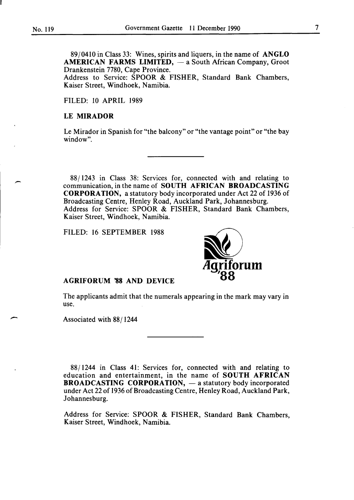89/0410 in Class 33: Wines, spirits and liquers, in the name of ANGLO AMERICAN FARMS LIMITED,  $-$  a South African Company, Groot Drankenstein 7780, Cape Province.

Address to Service: SPOOR & FISHER, Standard Bank Chambers, Kaiser Street, Windhoek, Namibia.

FILED: 10 APRIL 1989

#### LE MIRADOR

Le Mirador in Spanish for "the balcony" or "the vantage point" or "the bay window".

88/1243 in Class 38: Services for, connected with and relating to communication, in the name of SOUTH AFRICAN BROADCASTING CORPORATION, a statutory body incorporated under Act 22 of 1936 of Broadcasting Centre, Henley Road, Auckland Park, Johannesburg. Address for Service: SPOOR & FISHER, Standard Bank Chambers, Kaiser Street, Windhoek, Namibia.

FILED: 16 SEPTEMBER 1988



#### AGRIFORUM '88 AND DEVICE

The applicants admit that the numerals appearing in the mark may vary in use.

Associated with 88/1244

-

88/1244 in Class 41: Services for, connected with and relating to education and entertainment, in the name of SOUTH AFRICAN BROADCASTING CORPORATION,  $-$  a statutory body incorporated under Act 22 of 1936 of Broadcasting Centre, Henley Road, Auckland Park, Johannesburg.

Address for Service: SPOOR & FISHER, Standard Bank Chambers, Kaiser Street, Windhoek, Namibia.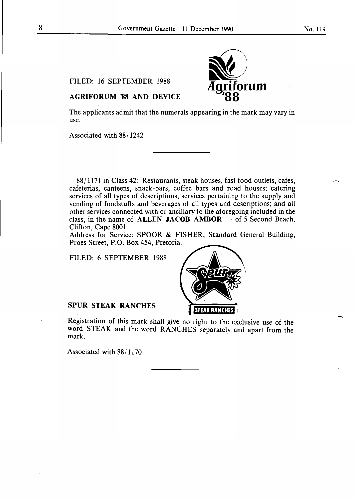$\overline{\phantom{a}}$ 

-

FILED: 16 SEPTEMBER 1988

# at) **tlgriforum <sup>7</sup> 88**

#### AGRIFORUM '88 AND DEVICE

The applicants admit that the numerals appearing in the mark may vary in use.

Associated with 88/1242

88/1171 in Class 42: Restaurants, steak houses, fast food outlets, cafes, cafeterias, canteens, snack-bars, coffee bars and road houses; catering services of all types of descriptions; services pertaining to the supply and vending of foodstuffs and beverages of all types and descriptions; and all other services connected with or ancillary to the aforegoing included in the class, in the name of ALLEN JACOB AMBOR  $-$  of 5 Second Beach, Clifton, Cape 8001.

Address for Service: SPOOR & FISHER, Standard General Building, Proes Street, P.O. Box 454, Pretoria.

FILED: 6 SEPTEMBER 1988



Registration of this mark shall give no right to the exclusive use of the word STEAK and the word RANCHES separately and apart from the mark.

Associated with 88/1170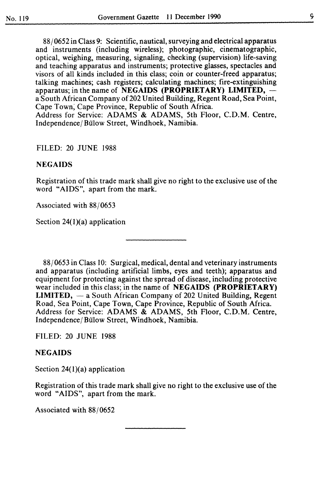88/0652 in Class 9: Scientific, nautical, surveying and electrical apparatus and instruments (including wireless); photographic, cinematographic, optical, weighing, measuring, signaling, checking (supervision) life-saving and teaching apparatus and instruments; protective glasses, spectacles and visors of all kinds included in this class; coin or counter-freed apparatus; talking machines; cash registers; calculating machines; fire-extinguishing apparatus; in the name of NEGAIDS (PROPRIETARY) LIMITED,  $$ a South African Company of 202 United Building, Regent Road, Sea Point, Cape Town, Cape Province, Republic of South Africa. Address for Service: ADAMS & ADAMS, 5th Floor, C.D.M. Centre, Independence/Bülow Street, Windhoek, Namibia.

#### FILED: 20 JUNE 1988

#### **NEGAIDS**

Registration of this trade mark shall give no right to the exclusive use of the word "AIDS", apart from the mark.

Associated with 88/0653

Section 24(1)(a) application

88/0653 in Class 10: Surgical, medical, dental and veterinary instruments and apparatus (including artificial limbs, eyes and teeth); apparatus and equipment for protecting against the spread of disease, including protective wear included in this class; in the name of NEGAIDS (PROPRIETARY) **LIMITED,**  $-$  a South African Company of 202 United Building, Regent Road, Sea Point, Cape Town, Cape Province, Republic of South Africa. Address for Service: ADAMS & ADAMS, 5th Floor, C.D.M. Centre, Independence/ Bulow Street, Windhoek, Namibia.

FILED: 20 JUNE 1988

#### **NEGAIDS**

Section  $24(1)(a)$  application

Registration of this trade mark shall give no right to the exclusive use of the word "AIDS", apart from the mark.

Associated with 88/0652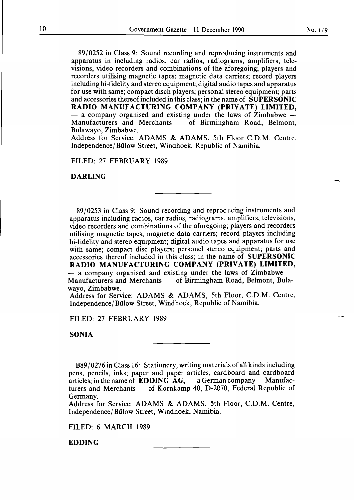89/0252 in Class 9: Sound recording and reproducing instruments and apparatus in including radios, car radios, radiograms, amplifiers, televisions, video recorders and combinations of the aforegoing; players and recorders utilising magnetic tapes; magnetic data carriers; record players including hi-fidelity and stereo equipment; digital audio tapes and apparatus for use with same; compact disch players; personal stereo equipment; parts and accessories thereof included in this class; in the name of SUPERSONIC RADIO MANUFACTURING COMPANY (PRIVATE) LIMITED,  $-$  a company organised and existing under the laws of Zimbabwe  $-$ Manufacturers and Merchants  $-$  of Birmingham Road, Belmont, Bulawayo, Zimbabwe.

Address for Service: ADAMS & ADAMS, 5th Floor C.D.M. Centre, Independence/ Bulow Street, Windhoek, Republic of Namibia.

FILED: 27 FEBRUARY 1989

DARLING

89/0253 in Class 9: Sound recording and reproducing instruments and apparatus including radios, car radios, radiograms, amplifiers, televisions, video recorders and combinations of the aforegoing; players and recorders utilising magnetic tapes; magnetic data carriers; record players including hi-fidelity and stereo equipment; digital audio tapes and apparatus for use with same; compact disc players; personel stereo equipment; parts and accessories thereof included in this class; in the name of SUPERSONIC RADIO MANUFACTURING COMPANY (PRIVATE) LIMITED, a company organised and existing under the laws of Zimbabwe  $-$ Manufacturers and Merchants  $-$  of Birmingham Road, Belmont, Bulawayo, Zimbabwe.

Address for Service: ADAMS & ADAMS, 5th Floor, C.D.M. Centre, Independence/ Bulow Street, Windhoek, Republic of Namibia.

FILED: 27 FEBRUARY 1989

SONIA

 $B89/0276$  in Class 16: Stationery, writing materials of all kinds including pens, pencils, inks; paper and paper articles, cardboard and cardboard articles; in the name of EDDING  $AG$ ,  $-$ a German company - Manufacturers and Merchants  $-$  of Kornkamp 40, D-2070, Federal Republic of Germany.

Address for Service: ADAMS & ADAMS, 5th Floor, C.D.M. Centre, Independence/Bülow Street, Windhoek, Namibia.

FILED: 6 MARCH 1989

**EDDING** 

-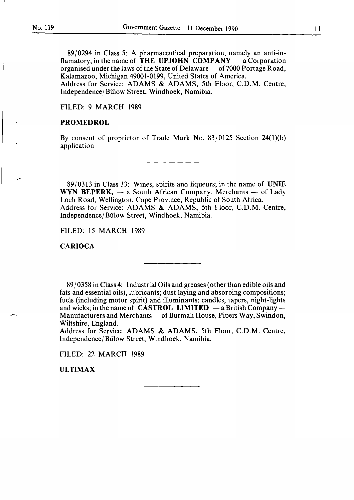89/0294 in Class 5: A pharmaceutical preparation, namely an anti-inflamatory, in the name of THE UPJOHN COMPANY  $-$  a Corporation organised under the laws of the State of Delaware  $-$  of 7000 Portage Road, Kalamazoo, Michigan 49001-0199, United States of America. Address for Service: ADAMS & ADAMS, 5th Floor, C.D.M. Centre, Independence/ Bulow Street, Windhoek, Namibia.

FILED: 9 MARCH 1989

#### PROMEDROL

By consent of proprietor of Trade Mark No. 83/0125 Section 24(l)(b) application

89/0313 in Class 33: Wines, spirits and liqueurs; in the name of UNIE WYN BEPERK,  $-$  a South African Company, Merchants  $-$  of Lady Loch Road, Wellington, Cape Province, Republic of South Africa. Address for Service: ADAMS & ADAMS, 5th Floor, C.D.M. Centre, Independence/ Bulow Street, Windhoek, Namibia.

FILED: 15 MARCH 1989

#### CARIOCA

89/0358 in Class 4: Industrial Oils and greases (other than edible oils and fats and essential oils), lubricants; dust laying and absorbing compositions; fuels (including motor spirit) and illuminants; candles, tapers, night-lights and wicks; in the name of **CASTROL LIMITED**  $-$  a British Company  $-$ Manufacturers and Merchants — of Burmah House, Pipers Way, Swindon, Wiltshire, England.

Address for Service: ADAMS & ADAMS, 5th Floor, C.D.M. Centre, Independence/ Bulow Street, Windhoek, Namibia.

FILED: 22 MARCH 1989

ULTIMAX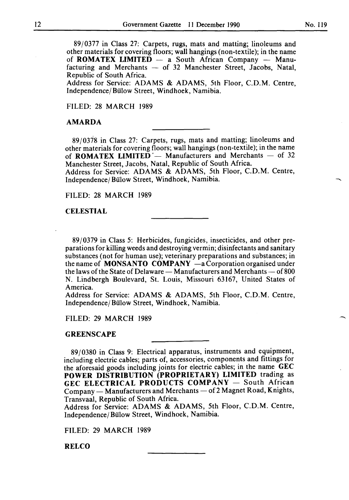89/0377 in Class 27: Carpets, rugs, mats and matting; linoleums and other materials for covering floors; wall hangings (non-textile); in the name of ROMATEX LIMITED  $-$  a South African Company  $-$  Manufacturing and Merchants  $-$  of 32 Manchester Street, Jacobs, Natal, Republic of South Africa.

Address for Service: ADAMS & ADAMS, 5th Floor, C.D.M. Centre, Independence/ Bulow Street, Windhoek, Namibia.

FILED: 28 MARCH 1989

#### AMARDA

89/0378 in Class 27: Carpets, rugs, mats and matting; linoleums and other materials for covering floors; wall hangings (non-textile); in the name of **ROMATEX LIMITED** – Manufacturers and Merchants – of 32 Manchester Street, Jacobs, Natal, Republic of South Africa.

Address for Service: ADAMS & ADAMS, 5th Floor, C.D.M. Centre, Independence/ Bulow Street, Windhoek, Namibia.

FILED: 28 MARCH 1989

#### **CELESTIAL**

89/0379 in Class 5: Herbicides, fungicides, insecticides, and other preparations for killing weeds and destroying vermin; disinfectants and sanitary substances (not for human use); veterinary preparations and substances; in the name of MONSANTO COMPANY  $-a$  Corporation organised under the laws of the State of Delaware  $-$  Manufacturers and Merchants  $-$  of 800 N. Lindbergh Boulevard, St. Louis, Missouri 63167, United States of America.

Address for Service: ADAMS & ADAMS, 5th Floor, C.D.M. Centre, Independence/ Bulow Street, Windhoek, Namibia.

FILED: 29 MARCH 1989

#### **GREENSCAPE**

89/0380 in Class 9: Electrical apparatus, instruments and equipment, including electric cables; parts of, accessories, components and fittings for the aforesaid goods including joints for electric cables; in the name GEC POWER DISTRIBUTION (PROPRIETARY) LIMITED trading as GEC ELECTRICAL PRODUCTS COMPANY - South African Company — Manufacturers and Merchants — of 2 Magnet Road, Knights, Transvaal, Republic of South Africa.

Address for Service: ADAMS & ADAMS, 5th Floor, C.D.M. Centre, Independence/ Bulow Street, Windhoek, Namibia.

FILED: 29 MARCH 1989

RELCO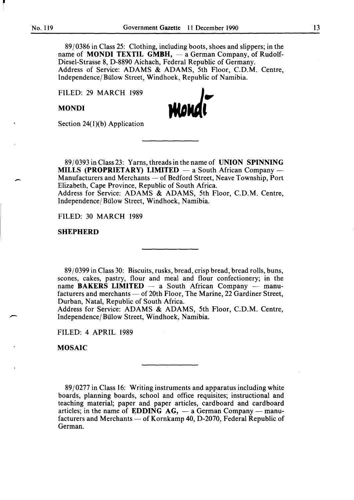-

89/0386 in Class 25: Clothing, including boots, shoes and slippers; in the name of **MONDI TEXTIL GMBH,**  $-$  a German Company, of Rudolf-Diesel-Strasse 8, D-8890 Aichach, Federal Republic of Germany. Address of Service: ADAMS & ADAMS, 5th Floor, C.D.M. Centre, Independence/ Bulow Street, Windhoek, Republic of Namibia.

FILED: 29 MARCH 1989

MONDI



Section 24 $(1)(b)$  Application

89/0393 in Class 23: Yarns, threads in the name of UNION SPINNING MILLS (PROPRIETARY) LIMITED  $-$  a South African Company  $-$ Manufacturers and Merchants — of Bedford Street, Neave Township, Port Elizabeth, Cape Province, Republic of South Africa. Address for Service: ADAMS & ADAMS, 5th Floor, C.D.M. Centre, Independence/Bülow Street, Windhoek, Namibia.

FILED: 30 MARCH 1989

#### SHEPHERD

89/0399 in Class 30: Biscuits, rusks, bread, crisp bread, bread rolls, buns, scones, cakes, pastry, flour and meal and flour confectionery; in the name BAKERS LIMITED  $-$  a South African Company  $-$  manufacturers and merchants — of 20th Floor, The Marine, 22 Gardiner Street, Durban, Natal, Republic of South Africa.

Address for Service: ADAMS & ADAMS, 5th Floor, C.D.M. Centre, Independence/ Bulow Street, Windhoek, Namibia.

FILED: 4 APRIL 1989

MOSAIC

89/0277 in Class 16: Writing instruments and apparatus including white boards, planning boards, school and office requisites; instructional and teaching material; paper and paper articles, cardboard and cardboard articles; in the name of EDDING  $AG$ ,  $-$  a German Company  $-$  manufacturers and Merchants  $-$  of Kornkamp 40, D-2070, Federal Republic of German.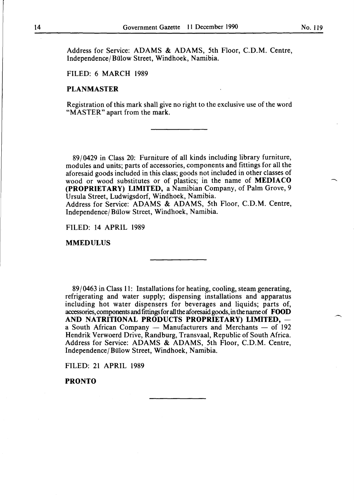Address for Service: ADAMS & ADAMS, 5th Floor, C.D.M. Centre, Independence/ Bülow Street, Windhoek, Namibia.

#### FILED: 6 MARCH 1989

#### **PLANMASTER**

Registration of this mark shall give no right to the exclusive use of the word "MASTER" apart from the mark.

89/0429 in Class 20: Furniture of all kinds including library furniture, modules and units; parts of accessories, components and fittings for all the aforesaid goods included in this class; goods not included in other classes of wood or wood substitutes or of plastics; in the name of **MEDIACO (PROPRIETARY) LIMITED,** a Namibian Company, of Palm Grove, 9 Ursula Street, Ludwigsdorf, Windhoek, Namibia.

Address for Service: ADAMS & ADAMS, 5th Floor, C.D.M. Centre, Independence/Bülow Street, Windhoek, Namibia.

FILED: 14 APRIL 1989

#### **MMEDULUS**

89/0463 in Class 11: Installations for heating, cooling, steam generating, refrigerating and water supply; dispensing installations and apparatus including hot water dispensers for beverages and liquids; parts of, accessories, components and fittings for all the aforesaid goods, in the name of **FOOD**  AND NATRITIONAL PRODUCTS PROPRIETARY) LIMITED, a South African Company  $-$  Manufacturers and Merchants  $-$  of 192 Hendrik Verwoerd Drive, Randburg, Transvaal, Republic of South Africa. Address for Service: ADAMS & ADAMS, 5th Floor, C.D.M. Centre, Independence/ Bulow Street, Windhoek, Namibia.

FILED: 21 APRIL 1989

**PRONTO**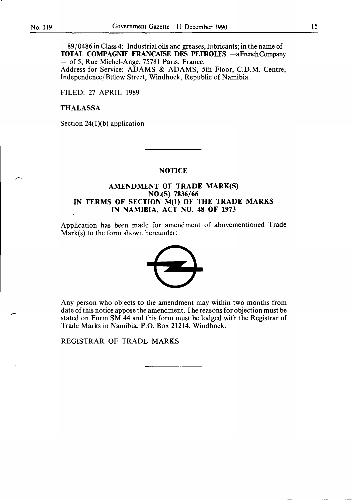-

/""'.

89/0486 in Class 4: Industrial oils and greases, lubricants; in the name of TOTAL COMPAGNIE FRANCAISE DES PETROLES -aFrenchCompany - of 5, Rue Michel-Ange, 75781 Paris, France. Address for Service: ADAMS & ADAMS, 5th Floor, C.D.M. Centre,

Independence/ Bülow Street, Windhoek, Republic of Namibia.

FILED: 27 APRIL 1989

#### THALASSA

Section  $24(1)(b)$  application

#### **NOTICE**

#### AMENDMENT OF TRADE MARK(S) NO.(S) 7836/66 IN TERMS OF SECTION 34(1) OF THE TRADE MARKS IN NAMIBIA, ACT NO. 48 OF 1973

Application has been made for amendment of abovementioned Trade Mark(s) to the form shown hereunder: $-$ 



Any person who objects to the amendment may within two months from date of this notice appose the amendment. The reasons for objection must be stated on Form SM 44 and this form must be lodged with the Registrar of Trade Marks in Namibia, P.O. Box 21214, Windhoek.

REGISTRAR OF TRADE MARKS